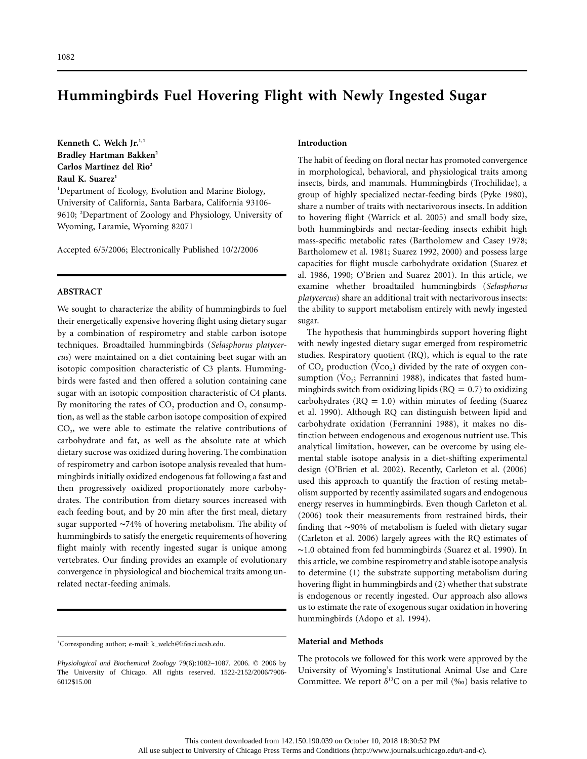# **Hummingbirds Fuel Hovering Flight with Newly Ingested Sugar**

Kenneth C. Welch Jr.<sup>1,1</sup> **Bradley Hartman Bakken2** Carlos Martínez del Rio<sup>2</sup> Raul K. Suarez<sup>1</sup>

<sup>1</sup>Department of Ecology, Evolution and Marine Biology, University of California, Santa Barbara, California 93106- 9610; <sup>2</sup>Department of Zoology and Physiology, University of Wyoming, Laramie, Wyoming 82071

Accepted 6/5/2006; Electronically Published 10/2/2006

## **ABSTRACT**

We sought to characterize the ability of hummingbirds to fuel their energetically expensive hovering flight using dietary sugar by a combination of respirometry and stable carbon isotope techniques. Broadtailed hummingbirds (*Selasphorus platycercus*) were maintained on a diet containing beet sugar with an isotopic composition characteristic of C3 plants. Hummingbirds were fasted and then offered a solution containing cane sugar with an isotopic composition characteristic of C4 plants. By monitoring the rates of  $CO<sub>2</sub>$  production and  $O<sub>2</sub>$  consumption, as well as the stable carbon isotope composition of expired  $CO<sub>2</sub>$ , we were able to estimate the relative contributions of carbohydrate and fat, as well as the absolute rate at which dietary sucrose was oxidized during hovering. The combination of respirometry and carbon isotope analysis revealed that hummingbirds initially oxidized endogenous fat following a fast and then progressively oxidized proportionately more carbohydrates. The contribution from dietary sources increased with each feeding bout, and by 20 min after the first meal, dietary sugar supported ∼74% of hovering metabolism. The ability of hummingbirds to satisfy the energetic requirements of hovering flight mainly with recently ingested sugar is unique among vertebrates. Our finding provides an example of evolutionary convergence in physiological and biochemical traits among unrelated nectar-feeding animals.

## **Introduction**

The habit of feeding on floral nectar has promoted convergence in morphological, behavioral, and physiological traits among insects, birds, and mammals. Hummingbirds (Trochilidae), a group of highly specialized nectar-feeding birds (Pyke 1980), share a number of traits with nectarivorous insects. In addition to hovering flight (Warrick et al. 2005) and small body size, both hummingbirds and nectar-feeding insects exhibit high mass-specific metabolic rates (Bartholomew and Casey 1978; Bartholomew et al. 1981; Suarez 1992, 2000) and possess large capacities for flight muscle carbohydrate oxidation (Suarez et al. 1986, 1990; O'Brien and Suarez 2001). In this article, we examine whether broadtailed hummingbirds (*Selasphorus platycercus*) share an additional trait with nectarivorous insects: the ability to support metabolism entirely with newly ingested sugar.

The hypothesis that hummingbirds support hovering flight with newly ingested dietary sugar emerged from respirometric studies. Respiratory quotient (RQ), which is equal to the rate of  $CO<sub>2</sub>$  production ( $VCO<sub>2</sub>$ ) divided by the rate of oxygen consumption ( $\rm \dot{Vo}_2$ ; Ferrannini 1988), indicates that fasted hummingbirds switch from oxidizing lipids ( $RQ = 0.7$ ) to oxidizing carbohydrates ( $RQ = 1.0$ ) within minutes of feeding (Suarez et al. 1990). Although RQ can distinguish between lipid and carbohydrate oxidation (Ferrannini 1988), it makes no distinction between endogenous and exogenous nutrient use. This analytical limitation, however, can be overcome by using elemental stable isotope analysis in a diet-shifting experimental design (O'Brien et al. 2002). Recently, Carleton et al. (2006) used this approach to quantify the fraction of resting metabolism supported by recently assimilated sugars and endogenous energy reserves in hummingbirds. Even though Carleton et al. (2006) took their measurements from restrained birds, their finding that ∼90% of metabolism is fueled with dietary sugar (Carleton et al. 2006) largely agrees with the RQ estimates of ∼1.0 obtained from fed hummingbirds (Suarez et al. 1990). In this article, we combine respirometry and stable isotope analysis to determine (1) the substrate supporting metabolism during hovering flight in hummingbirds and (2) whether that substrate is endogenous or recently ingested. Our approach also allows us to estimate the rate of exogenous sugar oxidation in hovering hummingbirds (Adopo et al. 1994).

### **Material and Methods**

The protocols we followed for this work were approved by the University of Wyoming's Institutional Animal Use and Care Committee. We report  $\delta^{13}$ C on a per mil (‰) basis relative to

<sup>1</sup> Corresponding author; e-mail: k\_welch@lifesci.ucsb.edu.

*Physiological and Biochemical Zoology* 79(6):1082-1087. 2006.  $©$  2006 by The University of Chicago. All rights reserved. 1522-2152/2006/7906- 6012\$15.00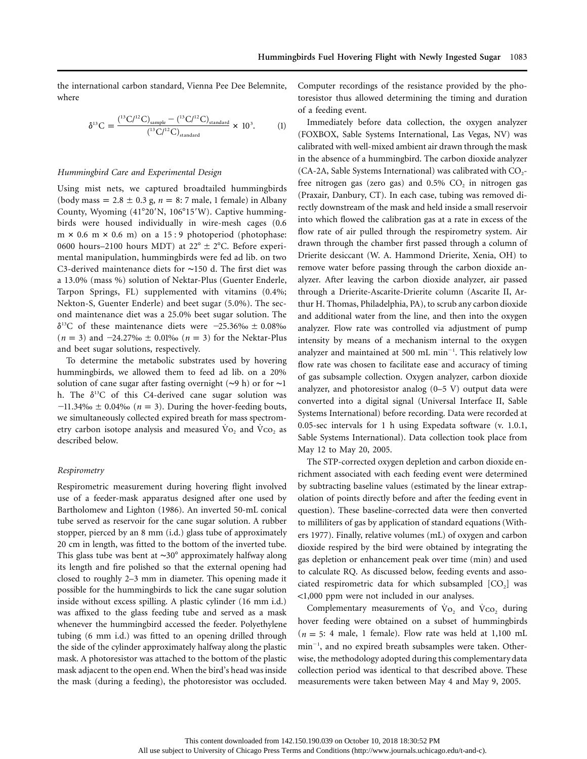the international carbon standard, Vienna Pee Dee Belemnite, where

$$
\delta^{13}C = \frac{\binom{13}{12}C_{\text{sample}} - \binom{13}{12}C_{\text{standard}}^{12}}{\binom{13}{12}C_{\text{standard}}^{12}C_{\text{standard}}^{13}} \times 10^3. \tag{1}
$$

## *Hummingbird Care and Experimental Design*

Using mist nets, we captured broadtailed hummingbirds (body mass =  $2.8 \pm 0.3$  g,  $n = 8$ : 7 male, 1 female) in Albany County, Wyoming  $(41^{\circ}20'N, 106^{\circ}15'W)$ . Captive hummingbirds were housed individually in wire-mesh cages (0.6  $m \times 0.6$  m  $\times 0.6$  m) on a 15:9 photoperiod (photophase: 0600 hours–2100 hours MDT) at  $22^{\circ} \pm 2^{\circ}$ C. Before experimental manipulation, hummingbirds were fed ad lib. on two C3-derived maintenance diets for ∼150 d. The first diet was a 13.0% (mass %) solution of Nektar-Plus (Guenter Enderle, Tarpon Springs, FL) supplemented with vitamins (0.4%; Nekton-S, Guenter Enderle) and beet sugar (5.0%). The second maintenance diet was a 25.0% beet sugar solution. The  $\delta^{13}$ C of these maintenance diets were -25.36‰  $\pm$  0.08‰  $(n = 3)$  and  $-24.27\%$ <sup>0</sup> ± 0.01‰  $(n = 3)$  for the Nektar-Plus and beet sugar solutions, respectively.

To determine the metabolic substrates used by hovering hummingbirds, we allowed them to feed ad lib. on a 20% solution of cane sugar after fasting overnight (∼9 h) or for ∼1 h. The  $\delta^{13}C$  of this C4-derived cane sugar solution was  $-11.34\%$ <sup>0</sup> ± 0.04‰ ( $n = 3$ ). During the hover-feeding bouts, we simultaneously collected expired breath for mass spectrometry carbon isotope analysis and measured  $Vo_2$  and  $Vco_2$  as described below.

## *Respirometry*

Respirometric measurement during hovering flight involved use of a feeder-mask apparatus designed after one used by Bartholomew and Lighton (1986). An inverted 50-mL conical tube served as reservoir for the cane sugar solution. A rubber stopper, pierced by an 8 mm (i.d.) glass tube of approximately 20 cm in length, was fitted to the bottom of the inverted tube. This glass tube was bent at ∼30° approximately halfway along its length and fire polished so that the external opening had closed to roughly 2–3 mm in diameter. This opening made it possible for the hummingbirds to lick the cane sugar solution inside without excess spilling. A plastic cylinder (16 mm i.d.) was affixed to the glass feeding tube and served as a mask whenever the hummingbird accessed the feeder. Polyethylene tubing (6 mm i.d.) was fitted to an opening drilled through the side of the cylinder approximately halfway along the plastic mask. A photoresistor was attached to the bottom of the plastic mask adjacent to the open end. When the bird's head was inside the mask (during a feeding), the photoresistor was occluded.

Computer recordings of the resistance provided by the photoresistor thus allowed determining the timing and duration of a feeding event.

Immediately before data collection, the oxygen analyzer (FOXBOX, Sable Systems International, Las Vegas, NV) was calibrated with well-mixed ambient air drawn through the mask in the absence of a hummingbird. The carbon dioxide analyzer  $(CA-2A,$  Sable Systems International) was calibrated with  $CO<sub>2</sub>$ free nitrogen gas (zero gas) and  $0.5\%$  CO<sub>2</sub> in nitrogen gas (Praxair, Danbury, CT). In each case, tubing was removed directly downstream of the mask and held inside a small reservoir into which flowed the calibration gas at a rate in excess of the flow rate of air pulled through the respirometry system. Air drawn through the chamber first passed through a column of Drierite desiccant (W. A. Hammond Drierite, Xenia, OH) to remove water before passing through the carbon dioxide analyzer. After leaving the carbon dioxide analyzer, air passed through a Drierite-Ascarite-Drierite column (Ascarite II, Arthur H. Thomas, Philadelphia, PA), to scrub any carbon dioxide and additional water from the line, and then into the oxygen analyzer. Flow rate was controlled via adjustment of pump intensity by means of a mechanism internal to the oxygen analyzer and maintained at 500 mL  $min^{-1}$ . This relatively low flow rate was chosen to facilitate ease and accuracy of timing of gas subsample collection. Oxygen analyzer, carbon dioxide analyzer, and photoresistor analog (0–5 V) output data were converted into a digital signal (Universal Interface II, Sable Systems International) before recording. Data were recorded at 0.05-sec intervals for 1 h using Expedata software (v. 1.0.1, Sable Systems International). Data collection took place from May 12 to May 20, 2005.

The STP-corrected oxygen depletion and carbon dioxide enrichment associated with each feeding event were determined by subtracting baseline values (estimated by the linear extrapolation of points directly before and after the feeding event in question). These baseline-corrected data were then converted to milliliters of gas by application of standard equations (Withers 1977). Finally, relative volumes (mL) of oxygen and carbon dioxide respired by the bird were obtained by integrating the gas depletion or enhancement peak over time (min) and used to calculate RQ. As discussed below, feeding events and associated respirometric data for which subsampled  $[CO<sub>2</sub>]$  was !1,000 ppm were not included in our analyses.

Complementary measurements of  $V_{O_2}$  and  $V_{CO_2}$  during hover feeding were obtained on a subset of hummingbirds  $(n = 5: 4$  male, 1 female). Flow rate was held at 1,100 mL min<sup>-1</sup>, and no expired breath subsamples were taken. Otherwise, the methodology adopted during this complementary data collection period was identical to that described above. These measurements were taken between May 4 and May 9, 2005.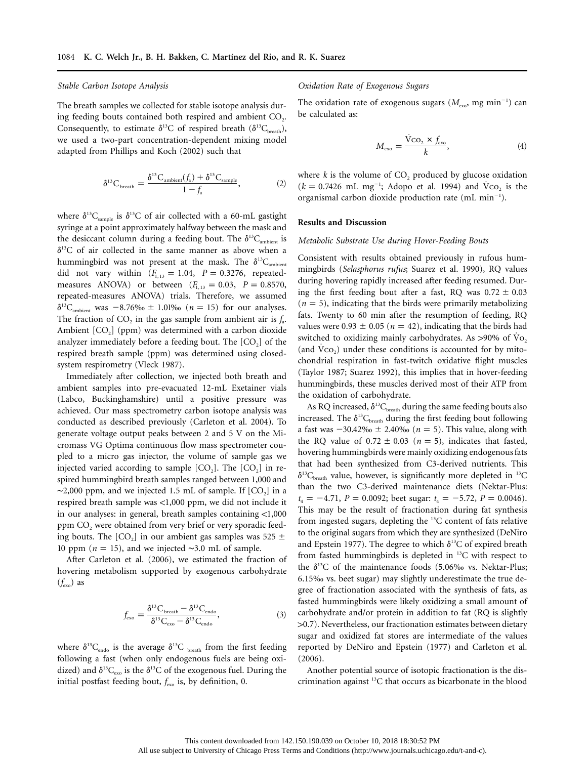#### *Stable Carbon Isotope Analysis*

The breath samples we collected for stable isotope analysis during feeding bouts contained both respired and ambient  $CO<sub>2</sub>$ . Consequently, to estimate  $\delta^{13}$ C of respired breath ( $\delta^{13}C_{\text{breath}}$ ), we used a two-part concentration-dependent mixing model adapted from Phillips and Koch (2002) such that

$$
\delta^{13}C_{\text{breath}} = \frac{\delta^{13}C_{\text{ambient}}(f_a) + \delta^{13}C_{\text{sample}}}{1 - f_a},\tag{2}
$$

where  $\delta^{13}C_{\text{sample}}$  is  $\delta^{13}C$  of air collected with a 60-mL gastight syringe at a point approximately halfway between the mask and the desiccant column during a feeding bout. The  $\delta^{13}C_{\text{ambient}}$  is  $\delta^{13}$ C of air collected in the same manner as above when a hummingbird was not present at the mask. The  $\delta^{13}C_{\text{ambient}}$ did not vary within  $(F_{1,13} = 1.04, P = 0.3276,$  repeatedmeasures ANOVA) or between  $(F_{1, 13} = 0.03, P = 0.8570,$ repeated-measures ANOVA) trials. Therefore, we assumed  $\delta^{13}$ C<sub>ambient</sub> was  $-8.76\%$   $\pm$  1.01‰  $(n = 15)$  for our analyses. The fraction of  $CO<sub>2</sub>$  in the gas sample from ambient air is  $f<sub>a</sub>$ . Ambient  $[CO<sub>2</sub>]$  (ppm) was determined with a carbon dioxide analyzer immediately before a feeding bout. The  $[CO<sub>2</sub>]$  of the respired breath sample (ppm) was determined using closedsystem respirometry (Vleck 1987).

Immediately after collection, we injected both breath and ambient samples into pre-evacuated 12-mL Exetainer vials (Labco, Buckinghamshire) until a positive pressure was achieved. Our mass spectrometry carbon isotope analysis was conducted as described previously (Carleton et al. 2004). To generate voltage output peaks between 2 and 5 V on the Micromass VG Optima continuous flow mass spectrometer coupled to a micro gas injector, the volume of sample gas we injected varied according to sample  $[CO<sub>2</sub>]$ . The  $[CO<sub>2</sub>]$  in respired hummingbird breath samples ranged between 1,000 and  $~\sim$ 2,000 ppm, and we injected 1.5 mL of sample. If [CO<sub>2</sub>] in a respired breath sample was  $<$ 1,000 ppm, we did not include it in our analyses: in general, breath samples containing  $<$ 1,000 ppm  $CO<sub>2</sub>$  were obtained from very brief or very sporadic feeding bouts. The  $[CO_2]$  in our ambient gas samples was 525  $\pm$ 10 ppm (*n* = 15), and we injected ~3.0 mL of sample.

After Carleton et al. (2006), we estimated the fraction of hovering metabolism supported by exogenous carbohydrate  $(f<sub>exo</sub>)$  as

$$
f_{\rm exo} = \frac{\delta^{13}C_{\rm breath} - \delta^{13}C_{\rm endo}}{\delta^{13}C_{\rm exo} - \delta^{13}C_{\rm endo}},\tag{3}
$$

where  $\delta^{13}C_{\text{endo}}$  is the average  $\delta^{13}C_{\text{ breath}}$  from the first feeding following a fast (when only endogenous fuels are being oxidized) and  $\delta^{13}C_{\text{exo}}$  is the  $\delta^{13}C$  of the exogenous fuel. During the initial postfast feeding bout,  $f_{\text{exo}}$  is, by definition, 0.

### *Oxidation Rate of Exogenous Sugars*

The oxidation rate of exogenous sugars ( $M_{\text{exo}}$ , mg min<sup>-1</sup>) can be calculated as:

$$
M_{\rm exo} = \frac{\dot{V}_{\rm CO_2} \times f_{\rm exo}}{k},\tag{4}
$$

where  $k$  is the volume of  $CO<sub>2</sub>$  produced by glucose oxidation  $(k = 0.7426 \text{ mL mg}^{-1}$ ; Adopo et al. 1994) and  $\dot{V}$ co<sub>2</sub> is the organismal carbon dioxide production rate (mL min $^{-1}$ ).

#### **Results and Discussion**

#### *Metabolic Substrate Use during Hover-Feeding Bouts*

Consistent with results obtained previously in rufous hummingbirds (*Selasphorus rufus*; Suarez et al. 1990), RQ values during hovering rapidly increased after feeding resumed. During the first feeding bout after a fast, RQ was  $0.72 \pm 0.03$  $(n = 5)$ , indicating that the birds were primarily metabolizing fats. Twenty to 60 min after the resumption of feeding, RQ values were  $0.93 \pm 0.05$  ( $n = 42$ ), indicating that the birds had switched to oxidizing mainly carbohydrates. As  $>90\%$  of Vo<sub>2</sub> (and  $\dot{V}CO<sub>2</sub>$ ) under these conditions is accounted for by mitochondrial respiration in fast-twitch oxidative flight muscles (Taylor 1987; Suarez 1992), this implies that in hover-feeding hummingbirds, these muscles derived most of their ATP from the oxidation of carbohydrate.

As RQ increased,  $\delta^{13}C_{\text{breath}}$  during the same feeding bouts also increased. The  $\delta^{13}C_{\text{breath}}$  during the first feeding bout following a fast was  $-30.42\% \text{ o } \pm 2.40\% \text{ o } (n = 5)$ . This value, along with the RQ value of  $0.72 \pm 0.03$  ( $n = 5$ ), indicates that fasted, hovering hummingbirds were mainly oxidizing endogenous fats that had been synthesized from C3-derived nutrients. This  $\delta^{13}C_{\text{breath}}$  value, however, is significantly more depleted in <sup>13</sup>C than the two C3-derived maintenance diets (Nektar-Plus:  $t_4 = -4.71$ ,  $P = 0.0092$ ; beet sugar:  $t_4 = -5.72$ ,  $P = 0.0046$ . This may be the result of fractionation during fat synthesis from ingested sugars, depleting the 13C content of fats relative to the original sugars from which they are synthesized (DeNiro and Epstein 1977). The degree to which  $\delta^{13}$ C of expired breath from fasted hummingbirds is depleted in 13C with respect to the  $\delta^{13}$ C of the maintenance foods (5.06‰ vs. Nektar-Plus; 6.15‰ vs. beet sugar) may slightly underestimate the true degree of fractionation associated with the synthesis of fats, as fasted hummingbirds were likely oxidizing a small amount of carbohydrate and/or protein in addition to fat (RQ is slightly  $>0.7$ ). Nevertheless, our fractionation estimates between dietary sugar and oxidized fat stores are intermediate of the values reported by DeNiro and Epstein (1977) and Carleton et al. (2006).

Another potential source of isotopic fractionation is the discrimination against 13C that occurs as bicarbonate in the blood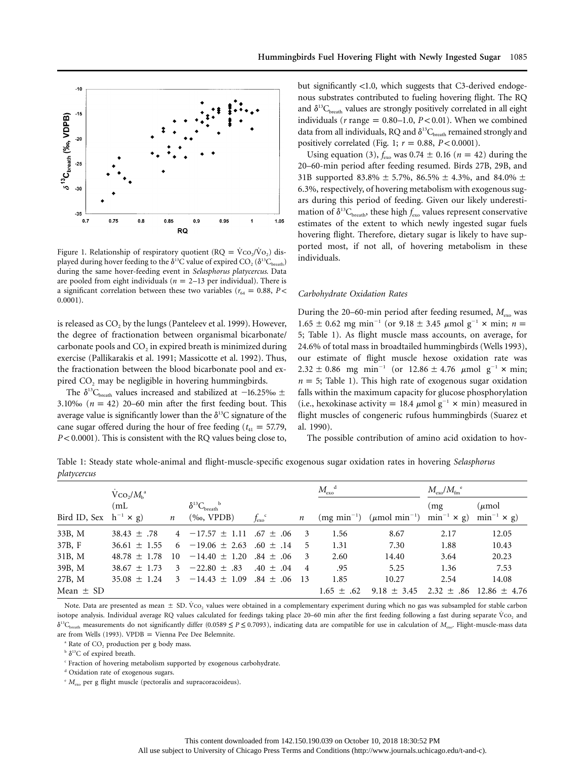

Figure 1. Relationship of respiratory quotient ( $RQ = Vco_2/Vo_2$ ) displayed during hover feeding to the  $\delta^{13}$ C value of expired CO<sub>2</sub> ( $\delta^{13}$ C<sub>breath</sub>) during the same hover-feeding event in *Selasphorus platycercus*. Data are pooled from eight individuals ( $n = 2-13$  per individual). There is a significant correlation between these two variables ( $r_{64} = 0.88$ , *P* < 0.0001).

is released as  $CO<sub>2</sub>$  by the lungs (Panteleev et al. 1999). However, the degree of fractionation between organismal bicarbonate/ carbonate pools and  $CO<sub>2</sub>$  in expired breath is minimized during exercise (Pallikarakis et al. 1991; Massicotte et al. 1992). Thus, the fractionation between the blood bicarbonate pool and expired  $CO<sub>2</sub>$  may be negligible in hovering hummingbirds.

The  $\delta^{13}C_{\text{breath}}$  values increased and stabilized at  $-16.25\%$   $\pm$ 3.10‰  $(n = 42)$  20–60 min after the first feeding bout. This average value is significantly lower than the  $\delta^{13}$ C signature of the cane sugar offered during the hour of free feeding ( $t_{41} = 57.79$ , *P* < 0.0001). This is consistent with the RQ values being close to,

but significantly  $\langle 1.0$ , which suggests that C3-derived endogenous substrates contributed to fueling hovering flight. The RQ and  $\delta^{13}C_{\text{break}}$  values are strongly positively correlated in all eight individuals ( $r$  range = 0.80–1.0,  $P < 0.01$ ). When we combined data from all individuals, RQ and  $\delta^{13}C_{\text{break}}$  remained strongly and positively correlated (Fig. 1;  $r = 0.88$ ,  $P < 0.0001$ ).

Using equation (3),  $f_{\text{exo}}$  was 0.74  $\pm$  0.16 ( $n = 42$ ) during the 20–60-min period after feeding resumed. Birds 27B, 29B, and 31B supported 83.8%  $\pm$  5.7%, 86.5%  $\pm$  4.3%, and 84.0%  $\pm$ 6.3%, respectively, of hovering metabolism with exogenous sugars during this period of feeding. Given our likely underestimation of  $\delta^{13}C_{\text{break}}$ , these high  $f_{\text{exo}}$  values represent conservative estimates of the extent to which newly ingested sugar fuels hovering flight. Therefore, dietary sugar is likely to have supported most, if not all, of hovering metabolism in these individuals.

## *Carbohydrate Oxidation Rates*

During the 20–60-min period after feeding resumed,  $M_{\text{exo}}$  was  $1.65 \pm 0.62$  mg min<sup>-1</sup> (or 9.18  $\pm$  3.45  $\mu$ mol g<sup>-1</sup>  $\times$  min; n = 5; Table 1). As flight muscle mass accounts, on average, for 24.6% of total mass in broadtailed hummingbirds (Wells 1993), our estimate of flight muscle hexose oxidation rate was  $2.32 \pm 0.86$  mg min<sup>-1</sup> (or 12.86  $\pm$  4.76  $\mu$ mol g<sup>-1</sup> × min;  $n = 5$ ; Table 1). This high rate of exogenous sugar oxidation falls within the maximum capacity for glucose phosphorylation (i.e., hexokinase activity = 18.4  $\mu$ mol  $g^{-1} \times min$ ) measured in flight muscles of congeneric rufous hummingbirds (Suarez et al. 1990).

The possible contribution of amino acid oxidation to hov-

Table 1: Steady state whole-animal and flight-muscle-specific exogenous sugar oxidation rates in hovering *Selasphorus platycercus*

|                                | $\rm V_{CO_2}/M_h$ <sup>a</sup> |                  |                                                           |                       |                  | $M_{\rm exo}^{\rm d}$ |                                                                     | $M_{\rm exo}/M_{\rm fm}$ <sup>e</sup> |                                            |
|--------------------------------|---------------------------------|------------------|-----------------------------------------------------------|-----------------------|------------------|-----------------------|---------------------------------------------------------------------|---------------------------------------|--------------------------------------------|
| Bird ID, Sex $h^{-1} \times g$ | (mL)                            | $\boldsymbol{n}$ | $\delta^{13}C_{\rm breath}$ <sup>b</sup><br>$(\%o, VPDB)$ | $f_{\rm exo}^{\circ}$ | $\boldsymbol{n}$ |                       | $(mg min-1)$ ( $\mu$ mol min <sup>-1</sup> ) min <sup>-1</sup> × g) | (mg)                                  | $(\mu \text{mol})$<br>$\min^{-1} \times g$ |
| 33B, M                         | $38.43 \pm .78$                 |                  | $4 -17.57 \pm 1.11$ .67 $\pm$ .06                         |                       | -3               | 1.56                  | 8.67                                                                | 2.17                                  | 12.05                                      |
| 37B, F                         | $36.61 \pm 1.55$                |                  | $6 -19.06 \pm 2.63$ .60 $\pm$ .14                         |                       | 5                | 1.31                  | 7.30                                                                | 1.88                                  | 10.43                                      |
| 31B, M                         | $48.78 \pm 1.78$                | 10               | $-14.40 \pm 1.20$ .84 $\pm$ .06                           |                       | 3                | 2.60                  | 14.40                                                               | 3.64                                  | 20.23                                      |
| 39B, M                         | $38.67 \pm 1.73$                |                  | $-22.80 \pm .83$                                          | $.40 \pm .04$         | $\overline{4}$   | .95                   | 5.25                                                                | 1.36                                  | 7.53                                       |
| 27B, M                         | $35.08 \pm 1.24$                | 3                | $-14.43 \pm 1.09$                                         | $.84 \pm .06$         | - 13             | 1.85                  | 10.27                                                               | 2.54                                  | 14.08                                      |
| Mean $\pm$ SD                  |                                 |                  |                                                           |                       |                  | $1.65 \pm .62$        | $9.18 \pm 3.45$                                                     |                                       | $2.32 \pm .86$ 12.86 $\pm$ 4.76            |

Note. Data are presented as mean  $\pm$  SD. Vco<sub>2</sub> values were obtained in a complementary experiment during which no gas was subsampled for stable carbon isotope analysis. Individual average RQ values calculated for feedings taking place 20–60 min after the first feeding following a fast during separate Vco, and  $\delta^{13}C_{\text{breath}}$  measurements do not significantly differ (0.0589  $\leq P \leq 0.7093$ ), indicating data are compatible for use in calculation of  $M_{\text{exo}}$ . Flight-muscle-mass data are from Wells (1993). VPDB = Vienna Pee Dee Belemnite.

 $^{\circ}$  Rate of CO<sub>2</sub> production per g body mass.

 $b \delta^{13}C$  of expired breath.

<sup>c</sup> Fraction of hovering metabolism supported by exogenous carbohydrate.

<sup>d</sup> Oxidation rate of exogenous sugars.

<sup>e</sup>  $M_{\text{exo}}$  per g flight muscle (pectoralis and supracoracoideus).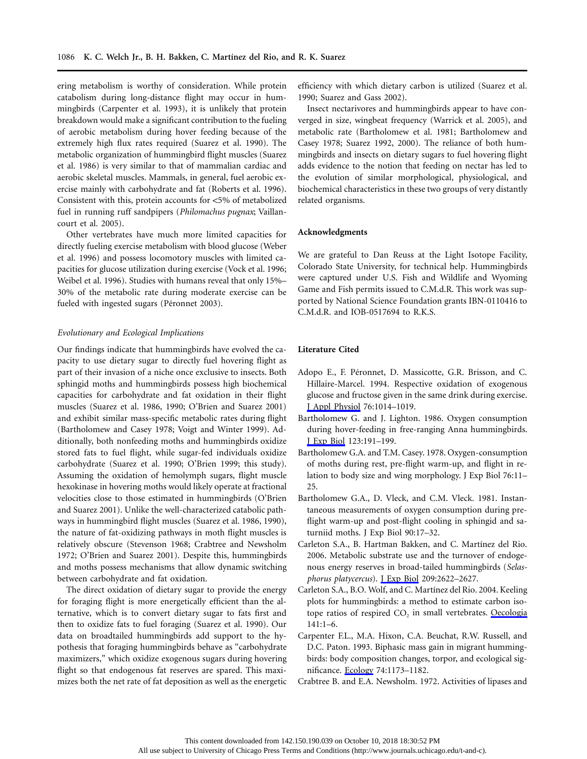ering metabolism is worthy of consideration. While protein catabolism during long-distance flight may occur in hummingbirds (Carpenter et al. 1993), it is unlikely that protein breakdown would make a significant contribution to the fueling of aerobic metabolism during hover feeding because of the extremely high flux rates required (Suarez et al. 1990). The metabolic organization of hummingbird flight muscles (Suarez et al. 1986) is very similar to that of mammalian cardiac and aerobic skeletal muscles. Mammals, in general, fuel aerobic exercise mainly with carbohydrate and fat (Roberts et al. 1996). Consistent with this, protein accounts for  $<5\%$  of metabolized fuel in running ruff sandpipers (*Philomachus pugnax*; Vaillancourt et al. 2005).

Other vertebrates have much more limited capacities for directly fueling exercise metabolism with blood glucose (Weber et al. 1996) and possess locomotory muscles with limited capacities for glucose utilization during exercise (Vock et al. 1996; Weibel et al. 1996). Studies with humans reveal that only 15%– 30% of the metabolic rate during moderate exercise can be fueled with ingested sugars (Péronnet 2003).

## *Evolutionary and Ecological Implications*

Our findings indicate that hummingbirds have evolved the capacity to use dietary sugar to directly fuel hovering flight as part of their invasion of a niche once exclusive to insects. Both sphingid moths and hummingbirds possess high biochemical capacities for carbohydrate and fat oxidation in their flight muscles (Suarez et al. 1986, 1990; O'Brien and Suarez 2001) and exhibit similar mass-specific metabolic rates during flight (Bartholomew and Casey 1978; Voigt and Winter 1999). Additionally, both nonfeeding moths and hummingbirds oxidize stored fats to fuel flight, while sugar-fed individuals oxidize carbohydrate (Suarez et al. 1990; O'Brien 1999; this study). Assuming the oxidation of hemolymph sugars, flight muscle hexokinase in hovering moths would likely operate at fractional velocities close to those estimated in hummingbirds (O'Brien and Suarez 2001). Unlike the well-characterized catabolic pathways in hummingbird flight muscles (Suarez et al. 1986, 1990), the nature of fat-oxidizing pathways in moth flight muscles is relatively obscure (Stevenson 1968; Crabtree and Newsholm 1972; O'Brien and Suarez 2001). Despite this, hummingbirds and moths possess mechanisms that allow dynamic switching between carbohydrate and fat oxidation.

The direct oxidation of dietary sugar to provide the energy for foraging flight is more energetically efficient than the alternative, which is to convert dietary sugar to fats first and then to oxidize fats to fuel foraging (Suarez et al. 1990). Our data on broadtailed hummingbirds add support to the hypothesis that foraging hummingbirds behave as "carbohydrate maximizers," which oxidize exogenous sugars during hovering flight so that endogenous fat reserves are spared. This maximizes both the net rate of fat deposition as well as the energetic efficiency with which dietary carbon is utilized (Suarez et al. 1990; Suarez and Gass 2002).

Insect nectarivores and hummingbirds appear to have converged in size, wingbeat frequency (Warrick et al. 2005), and metabolic rate (Bartholomew et al. 1981; Bartholomew and Casey 1978; Suarez 1992, 2000). The reliance of both hummingbirds and insects on dietary sugars to fuel hovering flight adds evidence to the notion that feeding on nectar has led to the evolution of similar morphological, physiological, and biochemical characteristics in these two groups of very distantly related organisms.

## **Acknowledgments**

We are grateful to Dan Reuss at the Light Isotope Facility, Colorado State University, for technical help. Hummingbirds were captured under U.S. Fish and Wildlife and Wyoming Game and Fish permits issued to C.M.d.R. This work was supported by National Science Foundation grants IBN-0110416 to C.M.d.R. and IOB-0517694 to R.K.S.

# **Literature Cited**

- Adopo E., F. Péronnet, D. Massicotte, G.R. Brisson, and C. Hillaire-Marcel. 1994. Respective oxidation of exogenous glucose and fructose given in the same drink during exercise. [J Appl Physiol](https://www.journals.uchicago.edu/action/showLinks?doi=10.1086%2F507665&pmid=8005840&crossref=10.1152%2Fjappl.1994.76.3.1014&citationId=p_3) 76:1014–1019.
- Bartholomew G. and J. Lighton. 1986. Oxygen consumption during hover-feeding in free-ranging Anna hummingbirds. [J Exp Biol](https://www.journals.uchicago.edu/action/showLinks?doi=10.1086%2F507665&pmid=3746193&citationId=p_4) 123:191–199.
- Bartholomew G.A. and T.M. Casey. 1978. Oxygen-consumption of moths during rest, pre-flight warm-up, and flight in relation to body size and wing morphology. J Exp Biol 76:11– 25.
- Bartholomew G.A., D. Vleck, and C.M. Vleck. 1981. Instantaneous measurements of oxygen consumption during preflight warm-up and post-flight cooling in sphingid and saturniid moths. J Exp Biol 90:17–32.
- Carleton S.A., B. Hartman Bakken, and C. Martínez del Rio. 2006. Metabolic substrate use and the turnover of endogenous energy reserves in broad-tailed hummingbirds (*Selasphorus platycercus*). [J Exp Biol](https://www.journals.uchicago.edu/action/showLinks?doi=10.1086%2F507665&pmid=16809453&crossref=10.1242%2Fjeb.02293&citationId=p_8) 209:2622–2627.
- Carleton S.A., B.O. Wolf, and C. Martínez del Rio. 2004. Keeling plots for hummingbirds: a method to estimate carbon isotope ratios of respired  $CO<sub>2</sub>$  in small vertebrates. [Oecologia](https://www.journals.uchicago.edu/action/showLinks?doi=10.1086%2F507665&pmid=15309607&crossref=10.1007%2Fs00442-004-1643-y&citationId=p_9) 141:1–6.
- Carpenter F.L., M.A. Hixon, C.A. Beuchat, R.W. Russell, and D.C. Paton. 1993. Biphasic mass gain in migrant hummingbirds: body composition changes, torpor, and ecological significance. [Ecology](https://www.journals.uchicago.edu/action/showLinks?doi=10.1086%2F507665&crossref=10.2307%2F1940487&citationId=p_10) 74:1173–1182.
- Crabtree B. and E.A. Newsholm. 1972. Activities of lipases and